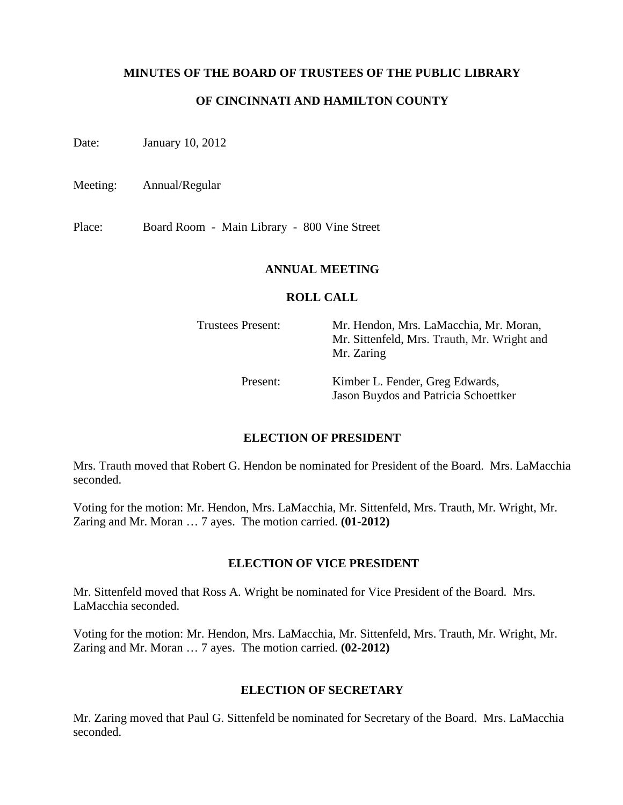## **MINUTES OF THE BOARD OF TRUSTEES OF THE PUBLIC LIBRARY**

## **OF CINCINNATI AND HAMILTON COUNTY**

Date: January 10, 2012

Meeting: Annual/Regular

Place: Board Room - Main Library - 800 Vine Street

### **ANNUAL MEETING**

### **ROLL CALL**

| <b>Trustees Present:</b> | Mr. Hendon, Mrs. LaMacchia, Mr. Moran,<br>Mr. Sittenfeld, Mrs. Trauth, Mr. Wright and<br>Mr. Zaring |
|--------------------------|-----------------------------------------------------------------------------------------------------|
| Present:                 | Kimber L. Fender, Greg Edwards,<br><b>Jason Buydos and Patricia Schoettker</b>                      |

### **ELECTION OF PRESIDENT**

Mrs. Trauth moved that Robert G. Hendon be nominated for President of the Board. Mrs. LaMacchia seconded.

Voting for the motion: Mr. Hendon, Mrs. LaMacchia, Mr. Sittenfeld, Mrs. Trauth, Mr. Wright, Mr. Zaring and Mr. Moran … 7 ayes. The motion carried. **(01-2012)**

### **ELECTION OF VICE PRESIDENT**

Mr. Sittenfeld moved that Ross A. Wright be nominated for Vice President of the Board. Mrs. LaMacchia seconded.

Voting for the motion: Mr. Hendon, Mrs. LaMacchia, Mr. Sittenfeld, Mrs. Trauth, Mr. Wright, Mr. Zaring and Mr. Moran … 7 ayes. The motion carried. **(02-2012)**

### **ELECTION OF SECRETARY**

Mr. Zaring moved that Paul G. Sittenfeld be nominated for Secretary of the Board. Mrs. LaMacchia seconded.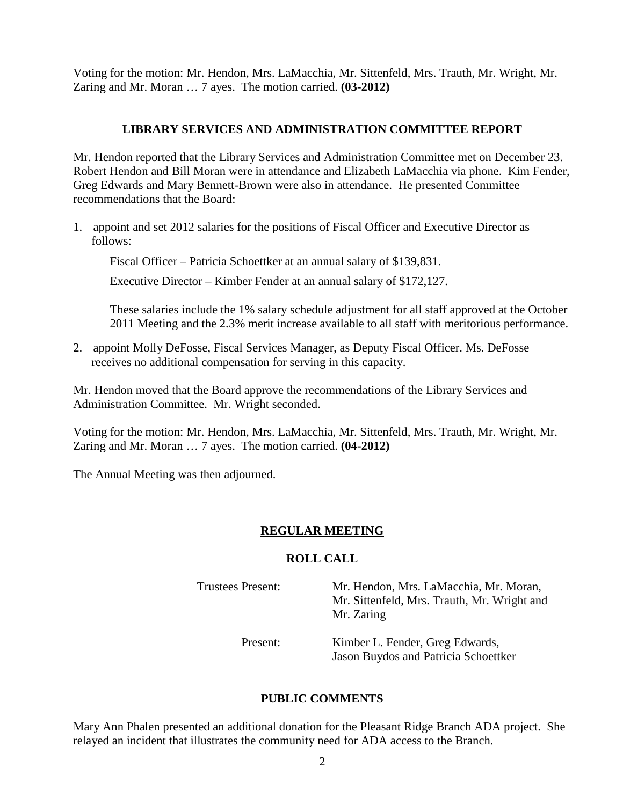Voting for the motion: Mr. Hendon, Mrs. LaMacchia, Mr. Sittenfeld, Mrs. Trauth, Mr. Wright, Mr. Zaring and Mr. Moran … 7 ayes. The motion carried. **(03-2012)**

# **LIBRARY SERVICES AND ADMINISTRATION COMMITTEE REPORT**

Mr. Hendon reported that the Library Services and Administration Committee met on December 23. Robert Hendon and Bill Moran were in attendance and Elizabeth LaMacchia via phone. Kim Fender, Greg Edwards and Mary Bennett-Brown were also in attendance. He presented Committee recommendations that the Board:

1. appoint and set 2012 salaries for the positions of Fiscal Officer and Executive Director as follows:

Fiscal Officer – Patricia Schoettker at an annual salary of \$139,831.

Executive Director – Kimber Fender at an annual salary of \$172,127.

These salaries include the 1% salary schedule adjustment for all staff approved at the October 2011 Meeting and the 2.3% merit increase available to all staff with meritorious performance.

2. appoint Molly DeFosse, Fiscal Services Manager, as Deputy Fiscal Officer. Ms. DeFosse receives no additional compensation for serving in this capacity.

Mr. Hendon moved that the Board approve the recommendations of the Library Services and Administration Committee. Mr. Wright seconded.

Voting for the motion: Mr. Hendon, Mrs. LaMacchia, Mr. Sittenfeld, Mrs. Trauth, Mr. Wright, Mr. Zaring and Mr. Moran … 7 ayes. The motion carried. **(04-2012)**

The Annual Meeting was then adjourned.

## **REGULAR MEETING**

## **ROLL CALL**

Trustees Present: Mr. Hendon, Mrs. LaMacchia, Mr. Moran, Mr. Sittenfeld, Mrs. Trauth, Mr. Wright and Mr. Zaring

> Present: Kimber L. Fender, Greg Edwards, Jason Buydos and Patricia Schoettker

## **PUBLIC COMMENTS**

Mary Ann Phalen presented an additional donation for the Pleasant Ridge Branch ADA project. She relayed an incident that illustrates the community need for ADA access to the Branch.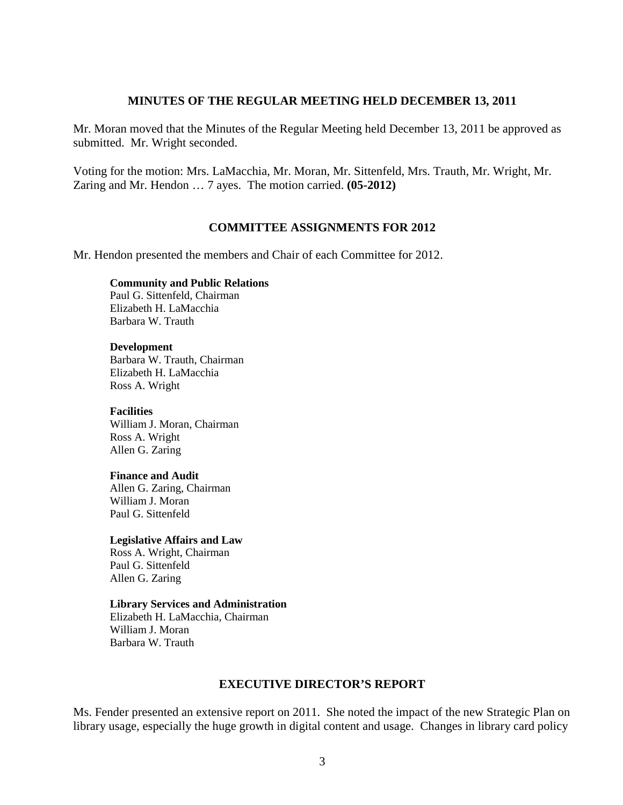### **MINUTES OF THE REGULAR MEETING HELD DECEMBER 13, 2011**

Mr. Moran moved that the Minutes of the Regular Meeting held December 13, 2011 be approved as submitted. Mr. Wright seconded.

Voting for the motion: Mrs. LaMacchia, Mr. Moran, Mr. Sittenfeld, Mrs. Trauth, Mr. Wright, Mr. Zaring and Mr. Hendon … 7 ayes. The motion carried. **(05-2012)**

### **COMMITTEE ASSIGNMENTS FOR 2012**

Mr. Hendon presented the members and Chair of each Committee for 2012.

### **Community and Public Relations**

 Paul G. Sittenfeld, Chairman Elizabeth H. LaMacchia Barbara W. Trauth

### **Development**

Barbara W. Trauth, Chairman Elizabeth H. LaMacchia Ross A. Wright

### **Facilities**

William J. Moran, Chairman Ross A. Wright Allen G. Zaring

### **Finance and Audit**

 Allen G. Zaring, Chairman William J. Moran Paul G. Sittenfeld

### **Legislative Affairs and Law**

 Ross A. Wright, Chairman Paul G. Sittenfeld Allen G. Zaring

### **Library Services and Administration**

Elizabeth H. LaMacchia, Chairman William J. Moran Barbara W. Trauth

## **EXECUTIVE DIRECTOR'S REPORT**

Ms. Fender presented an extensive report on 2011. She noted the impact of the new Strategic Plan on library usage, especially the huge growth in digital content and usage. Changes in library card policy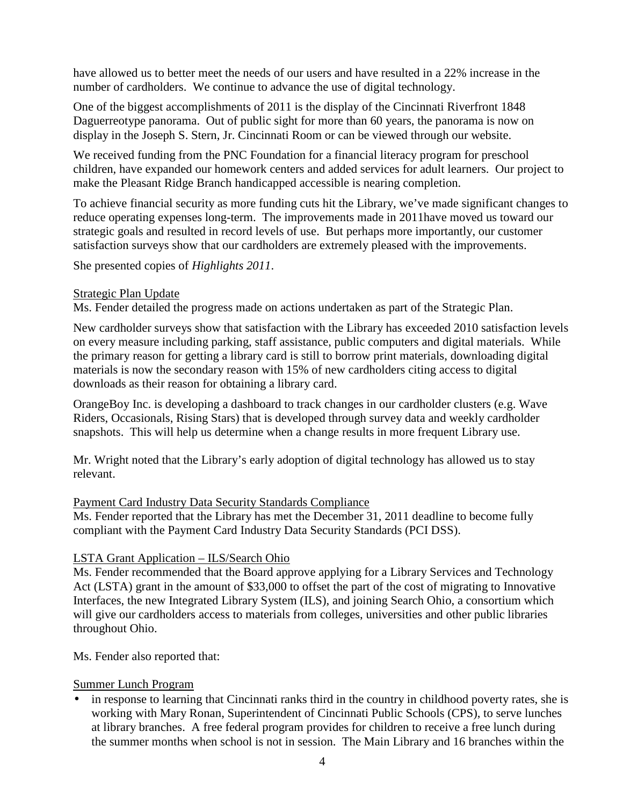have allowed us to better meet the needs of our users and have resulted in a 22% increase in the number of cardholders. We continue to advance the use of digital technology.

One of the biggest accomplishments of 2011 is the display of the Cincinnati Riverfront 1848 Daguerreotype panorama. Out of public sight for more than 60 years, the panorama is now on display in the Joseph S. Stern, Jr. Cincinnati Room or can be viewed through our website.

We received funding from the PNC Foundation for a financial literacy program for preschool children, have expanded our homework centers and added services for adult learners. Our project to make the Pleasant Ridge Branch handicapped accessible is nearing completion.

To achieve financial security as more funding cuts hit the Library, we've made significant changes to reduce operating expenses long-term. The improvements made in 2011have moved us toward our strategic goals and resulted in record levels of use. But perhaps more importantly, our customer satisfaction surveys show that our cardholders are extremely pleased with the improvements.

She presented copies of *Highlights 2011*.

# Strategic Plan Update

Ms. Fender detailed the progress made on actions undertaken as part of the Strategic Plan.

New cardholder surveys show that satisfaction with the Library has exceeded 2010 satisfaction levels on every measure including parking, staff assistance, public computers and digital materials. While the primary reason for getting a library card is still to borrow print materials, downloading digital materials is now the secondary reason with 15% of new cardholders citing access to digital downloads as their reason for obtaining a library card.

OrangeBoy Inc. is developing a dashboard to track changes in our cardholder clusters (e.g. Wave Riders, Occasionals, Rising Stars) that is developed through survey data and weekly cardholder snapshots. This will help us determine when a change results in more frequent Library use.

Mr. Wright noted that the Library's early adoption of digital technology has allowed us to stay relevant.

## Payment Card Industry Data Security Standards Compliance

Ms. Fender reported that the Library has met the December 31, 2011 deadline to become fully compliant with the Payment Card Industry Data Security Standards (PCI DSS).

# LSTA Grant Application – ILS/Search Ohio

Ms. Fender recommended that the Board approve applying for a Library Services and Technology Act (LSTA) grant in the amount of \$33,000 to offset the part of the cost of migrating to Innovative Interfaces, the new Integrated Library System (ILS), and joining Search Ohio, a consortium which will give our cardholders access to materials from colleges, universities and other public libraries throughout Ohio.

Ms. Fender also reported that:

# Summer Lunch Program

in response to learning that Cincinnati ranks third in the country in childhood poverty rates, she is working with Mary Ronan, Superintendent of Cincinnati Public Schools (CPS), to serve lunches at library branches. A free federal program provides for children to receive a free lunch during the summer months when school is not in session. The Main Library and 16 branches within the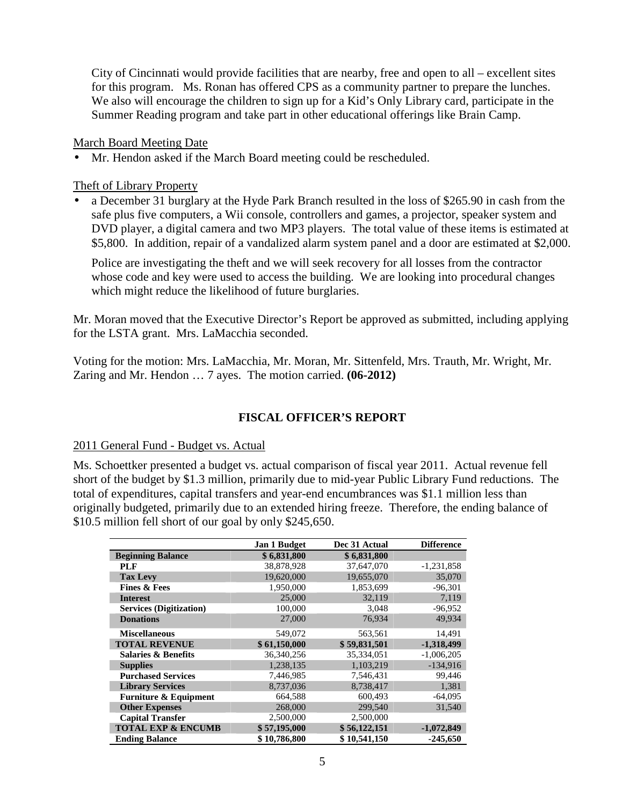City of Cincinnati would provide facilities that are nearby, free and open to all – excellent sites for this program. Ms. Ronan has offered CPS as a community partner to prepare the lunches. We also will encourage the children to sign up for a Kid's Only Library card, participate in the Summer Reading program and take part in other educational offerings like Brain Camp.

March Board Meeting Date

• Mr. Hendon asked if the March Board meeting could be rescheduled.

Theft of Library Property

• a December 31 burglary at the Hyde Park Branch resulted in the loss of \$265.90 in cash from the safe plus five computers, a Wii console, controllers and games, a projector, speaker system and DVD player, a digital camera and two MP3 players. The total value of these items is estimated at \$5,800. In addition, repair of a vandalized alarm system panel and a door are estimated at \$2,000.

Police are investigating the theft and we will seek recovery for all losses from the contractor whose code and key were used to access the building. We are looking into procedural changes which might reduce the likelihood of future burglaries.

Mr. Moran moved that the Executive Director's Report be approved as submitted, including applying for the LSTA grant. Mrs. LaMacchia seconded.

Voting for the motion: Mrs. LaMacchia, Mr. Moran, Mr. Sittenfeld, Mrs. Trauth, Mr. Wright, Mr. Zaring and Mr. Hendon … 7 ayes. The motion carried. **(06-2012)**

# **FISCAL OFFICER'S REPORT**

## 2011 General Fund - Budget vs. Actual

Ms. Schoettker presented a budget vs. actual comparison of fiscal year 2011. Actual revenue fell short of the budget by \$1.3 million, primarily due to mid-year Public Library Fund reductions. The total of expenditures, capital transfers and year-end encumbrances was \$1.1 million less than originally budgeted, primarily due to an extended hiring freeze. Therefore, the ending balance of \$10.5 million fell short of our goal by only \$245,650.

|                                  | <b>Jan 1 Budget</b> | Dec 31 Actual | <b>Difference</b> |
|----------------------------------|---------------------|---------------|-------------------|
| <b>Beginning Balance</b>         | \$6,831,800         | \$6,831,800   |                   |
| <b>PLF</b>                       | 38.878.928          | 37.647.070    | $-1,231,858$      |
| <b>Tax Levy</b>                  | 19,620,000          | 19,655,070    | 35,070            |
| <b>Fines &amp; Fees</b>          | 1,950,000           | 1,853,699     | $-96,301$         |
| <b>Interest</b>                  | 25,000              | 32,119        | 7,119             |
| <b>Services (Digitization)</b>   | 100,000             | 3,048         | $-96,952$         |
| <b>Donations</b>                 | 27,000              | 76,934        | 49,934            |
| <b>Miscellaneous</b>             | 549,072             | 563,561       | 14,491            |
| <b>TOTAL REVENUE</b>             | \$61,150,000        | \$59,831,501  | $-1,318,499$      |
| <b>Salaries &amp; Benefits</b>   | 36,340,256          | 35,334,051    | $-1,006,205$      |
| <b>Supplies</b>                  | 1,238,135           | 1,103,219     | $-134,916$        |
| <b>Purchased Services</b>        | 7,446,985           | 7,546,431     | 99,446            |
| <b>Library Services</b>          | 8,737,036           | 8,738,417     | 1,381             |
| <b>Furniture &amp; Equipment</b> | 664,588             | 600.493       | $-64,095$         |
| <b>Other Expenses</b>            | 268,000             | 299,540       | 31,540            |
| <b>Capital Transfer</b>          | 2,500,000           | 2,500,000     |                   |
| <b>TOTAL EXP &amp; ENCUMB</b>    | \$57,195,000        | \$56,122,151  | $-1,072,849$      |
| <b>Ending Balance</b>            | \$10,786,800        | \$10,541,150  | $-245,650$        |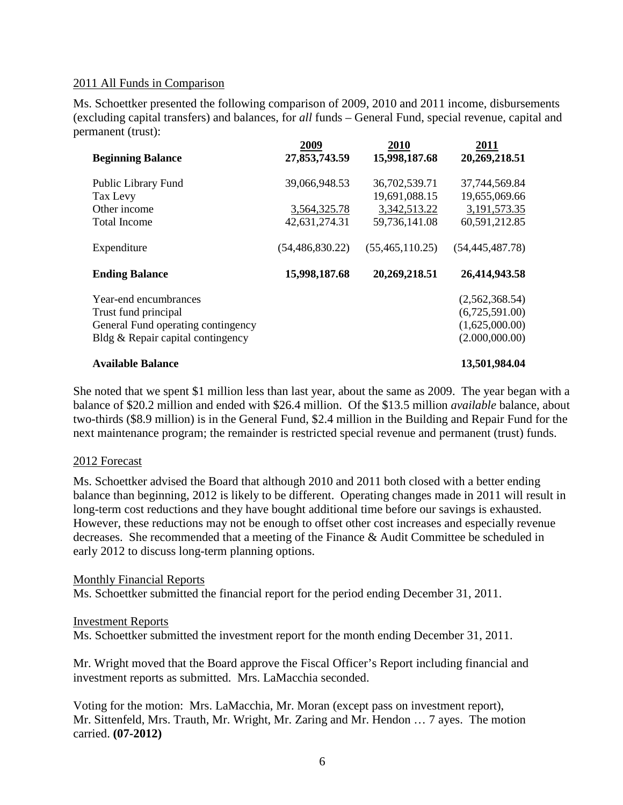## 2011 All Funds in Comparison

Ms. Schoettker presented the following comparison of 2009, 2010 and 2011 income, disbursements (excluding capital transfers) and balances, for *all* funds – General Fund, special revenue, capital and permanent (trust):

|                                    | 2009              | 2010              | 2011              |
|------------------------------------|-------------------|-------------------|-------------------|
| <b>Beginning Balance</b>           | 27,853,743.59     | 15,998,187.68     | 20,269,218.51     |
| Public Library Fund                | 39,066,948.53     | 36,702,539.71     | 37,744,569.84     |
| Tax Levy                           |                   | 19,691,088.15     | 19,655,069.66     |
| Other income                       | 3,564,325.78      | 3,342,513.22      | 3,191,573.35      |
| <b>Total Income</b>                | 42,631,274.31     | 59,736,141.08     | 60,591,212.85     |
| Expenditure                        | (54, 486, 830.22) | (55, 465, 110.25) | (54, 445, 487.78) |
| <b>Ending Balance</b>              | 15,998,187.68     | 20,269,218.51     | 26,414,943.58     |
| Year-end encumbrances              |                   |                   | (2,562,368.54)    |
| Trust fund principal               |                   |                   | (6,725,591.00)    |
| General Fund operating contingency |                   |                   | (1,625,000.00)    |
| Bldg & Repair capital contingency  |                   |                   | (2.000,000.00)    |
| <b>Available Balance</b>           |                   |                   | 13,501,984.04     |

She noted that we spent \$1 million less than last year, about the same as 2009. The year began with a balance of \$20.2 million and ended with \$26.4 million. Of the \$13.5 million *available* balance, about two-thirds (\$8.9 million) is in the General Fund, \$2.4 million in the Building and Repair Fund for the next maintenance program; the remainder is restricted special revenue and permanent (trust) funds.

## 2012 Forecast

Ms. Schoettker advised the Board that although 2010 and 2011 both closed with a better ending balance than beginning, 2012 is likely to be different. Operating changes made in 2011 will result in long-term cost reductions and they have bought additional time before our savings is exhausted. However, these reductions may not be enough to offset other cost increases and especially revenue decreases. She recommended that a meeting of the Finance & Audit Committee be scheduled in early 2012 to discuss long-term planning options.

### Monthly Financial Reports

Ms. Schoettker submitted the financial report for the period ending December 31, 2011.

### Investment Reports

Ms. Schoettker submitted the investment report for the month ending December 31, 2011.

Mr. Wright moved that the Board approve the Fiscal Officer's Report including financial and investment reports as submitted. Mrs. LaMacchia seconded.

Voting for the motion: Mrs. LaMacchia, Mr. Moran (except pass on investment report), Mr. Sittenfeld, Mrs. Trauth, Mr. Wright, Mr. Zaring and Mr. Hendon … 7 ayes. The motion carried. **(07-2012)**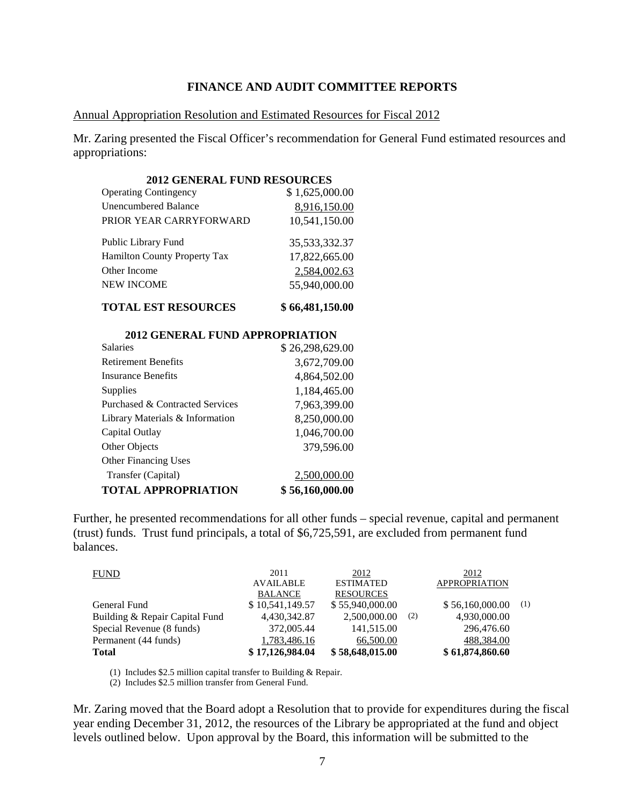### **FINANCE AND AUDIT COMMITTEE REPORTS**

### Annual Appropriation Resolution and Estimated Resources for Fiscal 2012

Mr. Zaring presented the Fiscal Officer's recommendation for General Fund estimated resources and appropriations:

| <b>2012 GENERAL FUND RESOURCES</b>  |                |
|-------------------------------------|----------------|
| <b>Operating Contingency</b>        | \$1,625,000.00 |
| Unencumbered Balance                | 8,916,150.00   |
| PRIOR YEAR CARRYFORWARD             | 10,541,150.00  |
| Public Library Fund                 | 35,533,332.37  |
| <b>Hamilton County Property Tax</b> | 17,822,665.00  |
| Other Income                        | 2,584,002.63   |
| <b>NEW INCOME</b>                   | 55,940,000.00  |
| ____                                |                |

**TOTAL EST RESOURCES \$ 66,481,150.00**

| <b>2012 GENERAL FUND APPROPRIATION</b> |                 |
|----------------------------------------|-----------------|
| <b>Salaries</b>                        | \$26,298,629.00 |
| <b>Retirement Benefits</b>             | 3,672,709.00    |
| <b>Insurance Benefits</b>              | 4,864,502.00    |
| Supplies                               | 1,184,465.00    |
| Purchased & Contracted Services        | 7,963,399.00    |
| Library Materials & Information        | 8,250,000.00    |
| Capital Outlay                         | 1,046,700.00    |
| Other Objects                          | 379,596.00      |
| <b>Other Financing Uses</b>            |                 |
| Transfer (Capital)                     | 2,500,000.00    |
| <b>TOTAL APPROPRIATION</b>             | \$56,160,000.00 |

Further, he presented recommendations for all other funds – special revenue, capital and permanent (trust) funds. Trust fund principals, a total of \$6,725,591, are excluded from permanent fund balances.

| <b>FUND</b>                    | 2011                               | 2012                                 |     | 2012                 |     |
|--------------------------------|------------------------------------|--------------------------------------|-----|----------------------|-----|
|                                | <b>AVAILABLE</b><br><b>BALANCE</b> | <b>ESTIMATED</b><br><b>RESOURCES</b> |     | <b>APPROPRIATION</b> |     |
| General Fund                   | \$10,541,149.57                    | \$55,940,000.00                      |     | \$56,160,000.00      | (1) |
| Building & Repair Capital Fund | 4.430.342.87                       | 2,500,000.00                         | (2) | 4,930,000.00         |     |
| Special Revenue (8 funds)      | 372,005.44                         | 141,515.00                           |     | 296,476.60           |     |
| Permanent (44 funds)           | 1,783,486.16                       | 66,500.00                            |     | 488,384.00           |     |
| <b>Total</b>                   | \$17,126,984.04                    | \$58,648,015.00                      |     | \$61,874,860.60      |     |

(1) Includes \$2.5 million capital transfer to Building & Repair.

(2) Includes \$2.5 million transfer from General Fund.

Mr. Zaring moved that the Board adopt a Resolution that to provide for expenditures during the fiscal year ending December 31, 2012, the resources of the Library be appropriated at the fund and object levels outlined below. Upon approval by the Board, this information will be submitted to the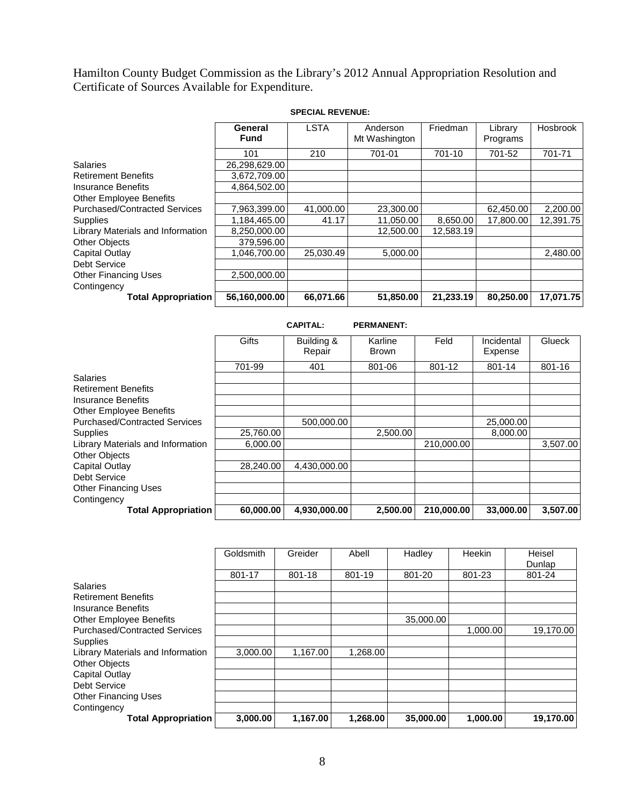Hamilton County Budget Commission as the Library's 2012 Annual Appropriation Resolution and Certificate of Sources Available for Expenditure.

|                                      | General<br><b>Fund</b> | <b>LSTA</b> | Anderson<br>Mt Washington | Friedman  | Library<br>Programs | Hosbrook  |
|--------------------------------------|------------------------|-------------|---------------------------|-----------|---------------------|-----------|
|                                      | 101                    | 210         | 701-01                    | 701-10    | 701-52              | 701-71    |
| <b>Salaries</b>                      | 26,298,629.00          |             |                           |           |                     |           |
| <b>Retirement Benefits</b>           | 3,672,709.00           |             |                           |           |                     |           |
| <b>Insurance Benefits</b>            | 4.864.502.00           |             |                           |           |                     |           |
| <b>Other Employee Benefits</b>       |                        |             |                           |           |                     |           |
| <b>Purchased/Contracted Services</b> | 7.963.399.00           | 41,000.00   | 23,300.00                 |           | 62,450.00           | 2,200.00  |
| Supplies                             | 1,184,465.00           | 41.17       | 11.050.00                 | 8.650.00  | 17,800.00           | 12.391.75 |
| Library Materials and Information    | 8,250,000.00           |             | 12,500.00                 | 12.583.19 |                     |           |
| <b>Other Objects</b>                 | 379,596.00             |             |                           |           |                     |           |
| Capital Outlay                       | 1.046.700.00           | 25.030.49   | 5,000.00                  |           |                     | 2,480.00  |
| Debt Service                         |                        |             |                           |           |                     |           |
| <b>Other Financing Uses</b>          | 2,500,000.00           |             |                           |           |                     |           |
| Contingency                          |                        |             |                           |           |                     |           |
| <b>Total Appropriation</b>           | 56,160,000.00          | 66,071.66   | 51,850.00                 | 21,233.19 | 80,250.00           | 17,071.75 |

**SPECIAL REVENUE:**

|                                      |           | <b>CAPITAL:</b>      | <b>PERMANENT:</b> |            |                       |               |
|--------------------------------------|-----------|----------------------|-------------------|------------|-----------------------|---------------|
|                                      | Gifts     | Building &<br>Repair | Karline<br>Brown  | Feld       | Incidental<br>Expense | <b>Glueck</b> |
|                                      | 701-99    | 401                  | 801-06            | 801-12     | 801-14                | 801-16        |
| <b>Salaries</b>                      |           |                      |                   |            |                       |               |
| <b>Retirement Benefits</b>           |           |                      |                   |            |                       |               |
| <b>Insurance Benefits</b>            |           |                      |                   |            |                       |               |
| <b>Other Employee Benefits</b>       |           |                      |                   |            |                       |               |
| <b>Purchased/Contracted Services</b> |           | 500.000.00           |                   |            | 25,000.00             |               |
| <b>Supplies</b>                      | 25,760.00 |                      | 2,500.00          |            | 8,000.00              |               |
| Library Materials and Information    | 6,000.00  |                      |                   | 210,000.00 |                       | 3,507.00      |
| Other Objects                        |           |                      |                   |            |                       |               |
| <b>Capital Outlay</b>                | 28.240.00 | 4.430.000.00         |                   |            |                       |               |
| <b>Debt Service</b>                  |           |                      |                   |            |                       |               |
| <b>Other Financing Uses</b>          |           |                      |                   |            |                       |               |
| Contingency                          |           |                      |                   |            |                       |               |
| <b>Total Appropriation</b>           | 60,000.00 | 4,930,000.00         | 2,500.00          | 210.000.00 | 33,000.00             | 3,507.00      |

|                                      | Goldsmith | Greider  | Abell    | Hadley    | Heekin   | Heisel<br>Dunlap |
|--------------------------------------|-----------|----------|----------|-----------|----------|------------------|
|                                      | 801-17    | 801-18   | 801-19   | 801-20    | 801-23   | 801-24           |
| <b>Salaries</b>                      |           |          |          |           |          |                  |
| <b>Retirement Benefits</b>           |           |          |          |           |          |                  |
| Insurance Benefits                   |           |          |          |           |          |                  |
| <b>Other Employee Benefits</b>       |           |          |          | 35,000.00 |          |                  |
| <b>Purchased/Contracted Services</b> |           |          |          |           | 1,000.00 | 19,170.00        |
| Supplies                             |           |          |          |           |          |                  |
| Library Materials and Information    | 3.000.00  | 1.167.00 | 1,268.00 |           |          |                  |
| <b>Other Objects</b>                 |           |          |          |           |          |                  |
| Capital Outlay                       |           |          |          |           |          |                  |
| <b>Debt Service</b>                  |           |          |          |           |          |                  |
| <b>Other Financing Uses</b>          |           |          |          |           |          |                  |
| Contingency                          |           |          |          |           |          |                  |
| <b>Total Appropriation</b>           | 3,000.00  | 1,167.00 | 1,268.00 | 35,000.00 | 1,000.00 | 19,170.00        |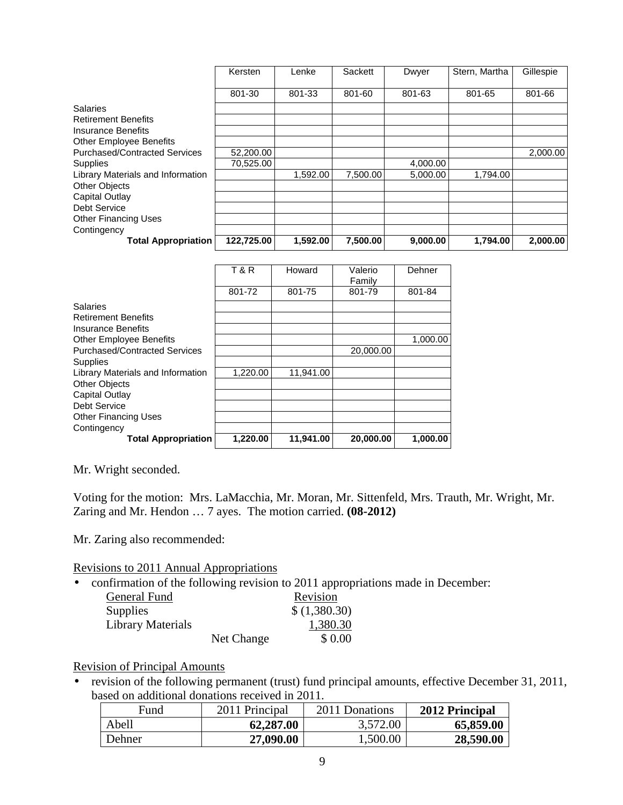|                                      | Kersten    | Lenke    | Sackett  | Dwyer    | Stern, Martha | Gillespie |
|--------------------------------------|------------|----------|----------|----------|---------------|-----------|
|                                      | 801-30     | 801-33   | 801-60   | 801-63   | 801-65        | 801-66    |
| <b>Salaries</b>                      |            |          |          |          |               |           |
| <b>Retirement Benefits</b>           |            |          |          |          |               |           |
| Insurance Benefits                   |            |          |          |          |               |           |
| <b>Other Employee Benefits</b>       |            |          |          |          |               |           |
| <b>Purchased/Contracted Services</b> | 52,200.00  |          |          |          |               | 2,000.00  |
| Supplies                             | 70.525.00  |          |          | 4,000.00 |               |           |
| Library Materials and Information    |            | 1,592.00 | 7.500.00 | 5.000.00 | 1,794.00      |           |
| <b>Other Objects</b>                 |            |          |          |          |               |           |
| Capital Outlay                       |            |          |          |          |               |           |
| Debt Service                         |            |          |          |          |               |           |
| <b>Other Financing Uses</b>          |            |          |          |          |               |           |
| Contingency                          |            |          |          |          |               |           |
| <b>Total Appropriation</b>           | 122.725.00 | 1.592.00 | 7.500.00 | 9,000.00 | 1.794.00      | 2.000.00  |

|                                      | <b>T&amp;R</b> | Howard    | Valerio<br>Family | Dehner   |
|--------------------------------------|----------------|-----------|-------------------|----------|
|                                      | 801-72         | 801-75    | 801-79            | 801-84   |
| <b>Salaries</b>                      |                |           |                   |          |
| <b>Retirement Benefits</b>           |                |           |                   |          |
| Insurance Benefits                   |                |           |                   |          |
| <b>Other Employee Benefits</b>       |                |           |                   | 1,000.00 |
| <b>Purchased/Contracted Services</b> |                |           | 20,000.00         |          |
| <b>Supplies</b>                      |                |           |                   |          |
| Library Materials and Information    | 1.220.00       | 11.941.00 |                   |          |
| <b>Other Objects</b>                 |                |           |                   |          |
| Capital Outlay                       |                |           |                   |          |
| Debt Service                         |                |           |                   |          |
| <b>Other Financing Uses</b>          |                |           |                   |          |
| Contingency                          |                |           |                   |          |
| <b>Total Appropriation</b>           | 1,220.00       | 11,941.00 | 20,000.00         | 1,000.00 |

Mr. Wright seconded.

Voting for the motion: Mrs. LaMacchia, Mr. Moran, Mr. Sittenfeld, Mrs. Trauth, Mr. Wright, Mr. Zaring and Mr. Hendon … 7 ayes. The motion carried. **(08-2012)**

Mr. Zaring also recommended:

Revisions to 2011 Annual Appropriations

• confirmation of the following revision to 2011 appropriations made in December:

| General Fund             |            | Revision     |
|--------------------------|------------|--------------|
| <b>Supplies</b>          |            | \$(1,380.30) |
| <b>Library Materials</b> |            | 1,380.30     |
|                          | Net Change | \$0.00       |

# Revision of Principal Amounts

• revision of the following permanent (trust) fund principal amounts, effective December 31, 2011, based on additional donations received in 2011.

| Fund   | 2011 Principal | 2011 Donations | 2012 Principal |
|--------|----------------|----------------|----------------|
| Abell  | 62,287.00      | 3,572.00       | 65,859.00      |
| Dehner | 27,090.00      | 1,500.00       | 28,590.00      |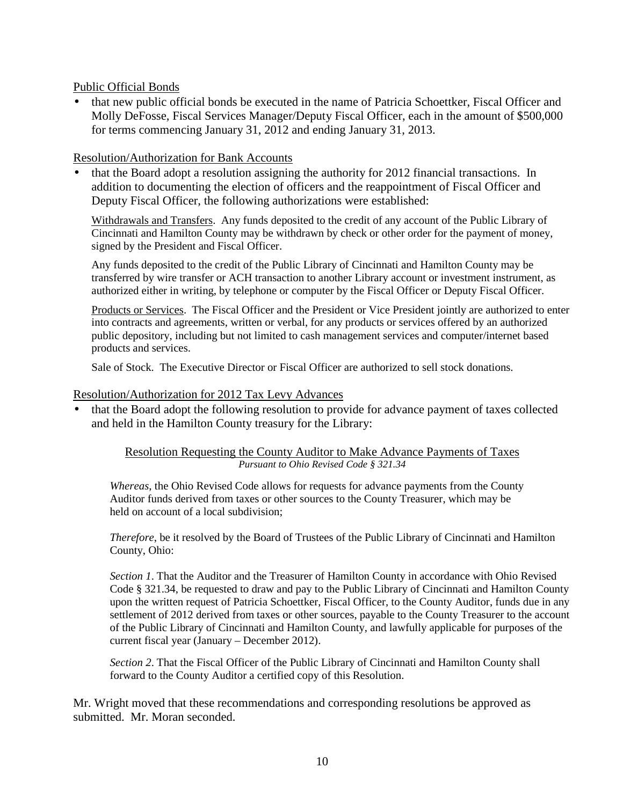Public Official Bonds

• that new public official bonds be executed in the name of Patricia Schoettker, Fiscal Officer and Molly DeFosse, Fiscal Services Manager/Deputy Fiscal Officer, each in the amount of \$500,000 for terms commencing January 31, 2012 and ending January 31, 2013.

Resolution/Authorization for Bank Accounts

• that the Board adopt a resolution assigning the authority for 2012 financial transactions. In addition to documenting the election of officers and the reappointment of Fiscal Officer and Deputy Fiscal Officer, the following authorizations were established:

Withdrawals and Transfers. Any funds deposited to the credit of any account of the Public Library of Cincinnati and Hamilton County may be withdrawn by check or other order for the payment of money, signed by the President and Fiscal Officer.

Any funds deposited to the credit of the Public Library of Cincinnati and Hamilton County may be transferred by wire transfer or ACH transaction to another Library account or investment instrument, as authorized either in writing, by telephone or computer by the Fiscal Officer or Deputy Fiscal Officer.

Products or Services. The Fiscal Officer and the President or Vice President jointly are authorized to enter into contracts and agreements, written or verbal, for any products or services offered by an authorized public depository, including but not limited to cash management services and computer/internet based products and services.

Sale of Stock. The Executive Director or Fiscal Officer are authorized to sell stock donations.

# Resolution/Authorization for 2012 Tax Levy Advances

• that the Board adopt the following resolution to provide for advance payment of taxes collected and held in the Hamilton County treasury for the Library:

## Resolution Requesting the County Auditor to Make Advance Payments of Taxes *Pursuant to Ohio Revised Code § 321.34*

*Whereas*, the Ohio Revised Code allows for requests for advance payments from the County Auditor funds derived from taxes or other sources to the County Treasurer, which may be held on account of a local subdivision;

*Therefore*, be it resolved by the Board of Trustees of the Public Library of Cincinnati and Hamilton County, Ohio:

*Section 1*. That the Auditor and the Treasurer of Hamilton County in accordance with Ohio Revised Code § 321.34, be requested to draw and pay to the Public Library of Cincinnati and Hamilton County upon the written request of Patricia Schoettker, Fiscal Officer, to the County Auditor, funds due in any settlement of 2012 derived from taxes or other sources, payable to the County Treasurer to the account of the Public Library of Cincinnati and Hamilton County, and lawfully applicable for purposes of the current fiscal year (January – December 2012).

*Section 2*. That the Fiscal Officer of the Public Library of Cincinnati and Hamilton County shall forward to the County Auditor a certified copy of this Resolution.

Mr. Wright moved that these recommendations and corresponding resolutions be approved as submitted. Mr. Moran seconded.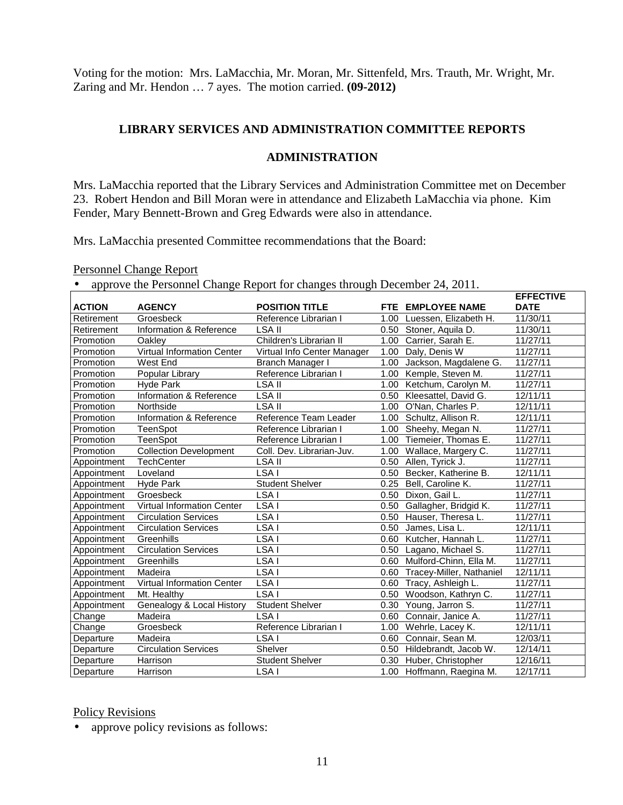Voting for the motion: Mrs. LaMacchia, Mr. Moran, Mr. Sittenfeld, Mrs. Trauth, Mr. Wright, Mr. Zaring and Mr. Hendon … 7 ayes. The motion carried. **(09-2012)**

# **LIBRARY SERVICES AND ADMINISTRATION COMMITTEE REPORTS**

# **ADMINISTRATION**

Mrs. LaMacchia reported that the Library Services and Administration Committee met on December 23. Robert Hendon and Bill Moran were in attendance and Elizabeth LaMacchia via phone. Kim Fender, Mary Bennett-Brown and Greg Edwards were also in attendance.

Mrs. LaMacchia presented Committee recommendations that the Board:

Personnel Change Report

• approve the Personnel Change Report for changes through December 24, 2011.

|               |                               | approve the Ferrolliner enange responsion enanges unough Becember $\omega$ , $\omega_{11}$ . |      |                               | <b>EFFECTIVE</b>      |
|---------------|-------------------------------|----------------------------------------------------------------------------------------------|------|-------------------------------|-----------------------|
| <b>ACTION</b> | <b>AGENCY</b>                 | <b>POSITION TITLE</b>                                                                        |      | FTE EMPLOYEE NAME             | <b>DATE</b>           |
| Retirement    | Groesbeck                     | Reference Librarian I                                                                        |      | 1.00 Luessen, Elizabeth H.    | 11/30/11              |
| Retirement    | Information & Reference       | LSA II                                                                                       |      | 0.50 Stoner, Aquila D.        | 11/30/11              |
| Promotion     | Oakley                        | Children's Librarian II                                                                      |      | 1.00 Carrier, Sarah E.        | 11/27/11              |
| Promotion     | Virtual Information Center    | Virtual Info Center Manager                                                                  |      | 1.00 Daly, Denis W            | 11/27/11              |
| Promotion     | West End                      | Branch Manager I                                                                             |      | 1.00 Jackson, Magdalene G.    | 11/27/11              |
| Promotion     | Popular Library               | Reference Librarian I                                                                        |      | 1.00 Kemple, Steven M.        | $\overline{11}/27/11$ |
| Promotion     | Hyde Park                     | LSA II                                                                                       |      | 1.00 Ketchum, Carolyn M.      | 11/27/11              |
| Promotion     | Information & Reference       | LSA II                                                                                       |      | 0.50 Kleesattel, David G.     | 12/11/11              |
| Promotion     | Northside                     | LSA II                                                                                       |      | 1.00 O'Nan, Charles P.        | 12/11/11              |
| Promotion     | Information & Reference       | Reference Team Leader                                                                        |      | 1.00 Schultz, Allison R.      | 12/11/11              |
| Promotion     | TeenSpot                      | Reference Librarian I                                                                        |      | 1.00 Sheehy, Megan N.         | 11/27/11              |
| Promotion     | TeenSpot                      | Reference Librarian I                                                                        |      | 1.00 Tiemeier, Thomas E.      | 11/27/11              |
| Promotion     | <b>Collection Development</b> | Coll. Dev. Librarian-Juv.                                                                    |      | 1.00 Wallace, Margery C.      | 11/27/11              |
| Appointment   | <b>TechCenter</b>             | LSA II                                                                                       |      | 0.50 Allen, Tyrick J.         | $\overline{11}/27/11$ |
| Appointment   | Loveland                      | LSA I                                                                                        |      | 0.50 Becker, Katherine B.     | 12/11/11              |
| Appointment   | Hyde Park                     | <b>Student Shelver</b>                                                                       |      | 0.25 Bell, Caroline K.        | 11/27/11              |
| Appointment   | Groesbeck                     | LSA I                                                                                        |      | 0.50 Dixon, Gail L.           | 11/27/11              |
| Appointment   | Virtual Information Center    | LSA I                                                                                        |      | 0.50 Gallagher, Bridgid K.    | 11/27/11              |
| Appointment   | <b>Circulation Services</b>   | LSA I                                                                                        |      | 0.50 Hauser, Theresa L.       | 11/27/11              |
| Appointment   | <b>Circulation Services</b>   | LSA I                                                                                        | 0.50 | James, Lisa L.                | 12/11/11              |
| Appointment   | Greenhills                    | LSA I                                                                                        |      | 0.60 Kutcher, Hannah L.       | 11/27/11              |
| Appointment   | <b>Circulation Services</b>   | LSA I                                                                                        |      | 0.50 Lagano, Michael S.       | 11/27/11              |
| Appointment   | Greenhills                    | LSA I                                                                                        |      | 0.60 Mulford-Chinn, Ella M.   | 11/27/11              |
| Appointment   | Madeira                       | LSA I                                                                                        |      | 0.60 Tracey-Miller, Nathaniel | 12/11/11              |
| Appointment   | Virtual Information Center    | LSA I                                                                                        |      | 0.60 Tracy, Ashleigh L.       | 11/27/11              |
| Appointment   | Mt. Healthy                   | LSA I                                                                                        |      | 0.50 Woodson, Kathryn C.      | 11/27/11              |
| Appointment   | Genealogy & Local History     | <b>Student Shelver</b>                                                                       |      | 0.30 Young, Jarron S.         | 11/27/11              |
| Change        | Madeira                       | LSA I                                                                                        |      | 0.60 Connair, Janice A.       | 11/27/11              |
| Change        | Groesbeck                     | Reference Librarian I                                                                        |      | 1.00 Wehrle, Lacey K.         | 12/11/11              |
| Departure     | Madeira                       | LSA I                                                                                        |      | 0.60 Connair, Sean M.         | 12/03/11              |
| Departure     | <b>Circulation Services</b>   | Shelver                                                                                      |      | 0.50 Hildebrandt, Jacob W.    | 12/14/11              |
| Departure     | Harrison                      | Student Shelver                                                                              |      | 0.30 Huber, Christopher       | $\overline{12}/16/11$ |
| Departure     | Harrison                      | LSA I                                                                                        |      | 1.00 Hoffmann, Raegina M.     | 12/17/11              |

## Policy Revisions

• approve policy revisions as follows: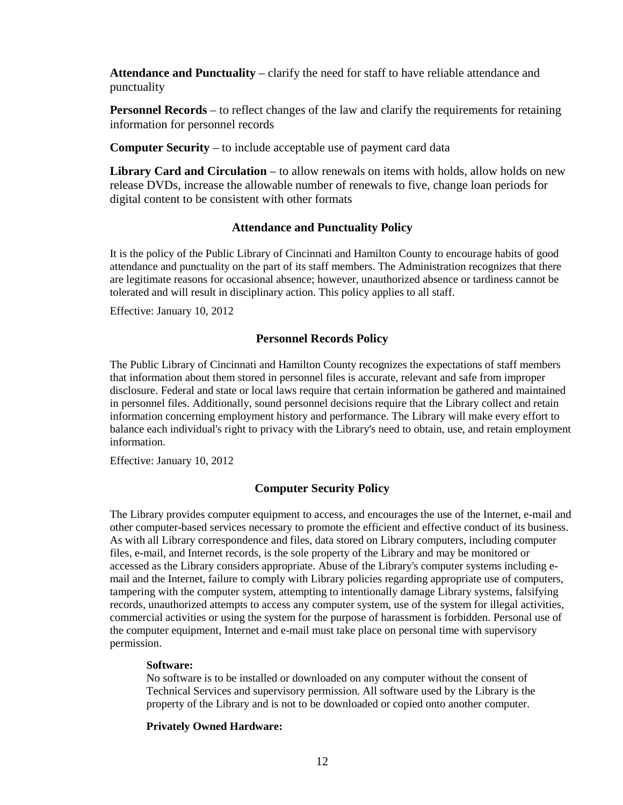**Attendance and Punctuality** – clarify the need for staff to have reliable attendance and punctuality

**Personnel Records** – to reflect changes of the law and clarify the requirements for retaining information for personnel records

**Computer Security** – to include acceptable use of payment card data

**Library Card and Circulation** – to allow renewals on items with holds, allow holds on new release DVDs, increase the allowable number of renewals to five, change loan periods for digital content to be consistent with other formats

## **Attendance and Punctuality Policy**

It is the policy of the Public Library of Cincinnati and Hamilton County to encourage habits of good attendance and punctuality on the part of its staff members. The Administration recognizes that there are legitimate reasons for occasional absence; however, unauthorized absence or tardiness cannot be tolerated and will result in disciplinary action. This policy applies to all staff.

Effective: January 10, 2012

### **Personnel Records Policy**

The Public Library of Cincinnati and Hamilton County recognizes the expectations of staff members that information about them stored in personnel files is accurate, relevant and safe from improper disclosure. Federal and state or local laws require that certain information be gathered and maintained in personnel files. Additionally, sound personnel decisions require that the Library collect and retain information concerning employment history and performance. The Library will make every effort to balance each individual's right to privacy with the Library's need to obtain, use, and retain employment information.

Effective: January 10, 2012

## **Computer Security Policy**

The Library provides computer equipment to access, and encourages the use of the Internet, e-mail and other computer-based services necessary to promote the efficient and effective conduct of its business. As with all Library correspondence and files, data stored on Library computers, including computer files, e-mail, and Internet records, is the sole property of the Library and may be monitored or accessed as the Library considers appropriate. Abuse of the Library's computer systems including email and the Internet, failure to comply with Library policies regarding appropriate use of computers, tampering with the computer system, attempting to intentionally damage Library systems, falsifying records, unauthorized attempts to access any computer system, use of the system for illegal activities, commercial activities or using the system for the purpose of harassment is forbidden. Personal use of the computer equipment, Internet and e-mail must take place on personal time with supervisory permission.

### **Software:**

No software is to be installed or downloaded on any computer without the consent of Technical Services and supervisory permission. All software used by the Library is the property of the Library and is not to be downloaded or copied onto another computer.

### **Privately Owned Hardware:**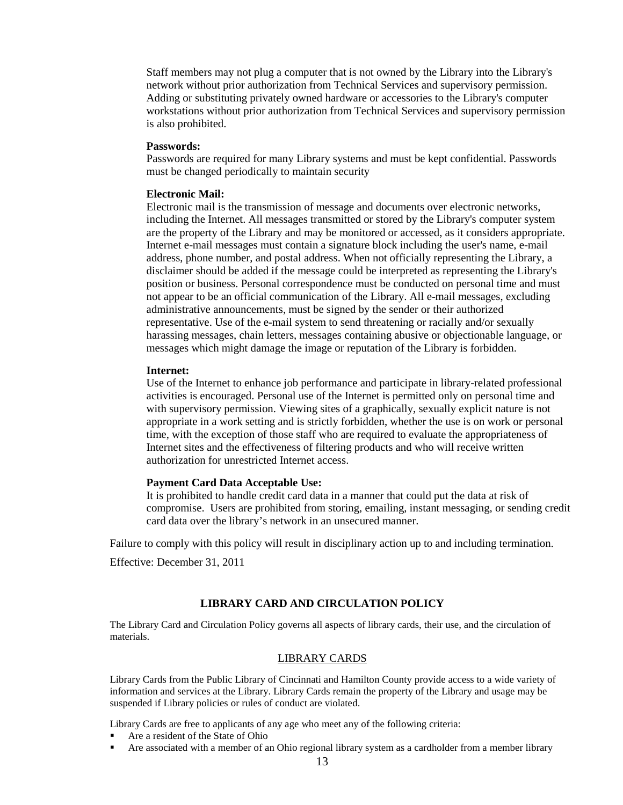Staff members may not plug a computer that is not owned by the Library into the Library's network without prior authorization from Technical Services and supervisory permission. Adding or substituting privately owned hardware or accessories to the Library's computer workstations without prior authorization from Technical Services and supervisory permission is also prohibited.

#### **Passwords:**

Passwords are required for many Library systems and must be kept confidential. Passwords must be changed periodically to maintain security

#### **Electronic Mail:**

Electronic mail is the transmission of message and documents over electronic networks, including the Internet. All messages transmitted or stored by the Library's computer system are the property of the Library and may be monitored or accessed, as it considers appropriate. Internet e-mail messages must contain a signature block including the user's name, e-mail address, phone number, and postal address. When not officially representing the Library, a disclaimer should be added if the message could be interpreted as representing the Library's position or business. Personal correspondence must be conducted on personal time and must not appear to be an official communication of the Library. All e-mail messages, excluding administrative announcements, must be signed by the sender or their authorized representative. Use of the e-mail system to send threatening or racially and/or sexually harassing messages, chain letters, messages containing abusive or objectionable language, or messages which might damage the image or reputation of the Library is forbidden.

#### **Internet:**

Use of the Internet to enhance job performance and participate in library-related professional activities is encouraged. Personal use of the Internet is permitted only on personal time and with supervisory permission. Viewing sites of a graphically, sexually explicit nature is not appropriate in a work setting and is strictly forbidden, whether the use is on work or personal time, with the exception of those staff who are required to evaluate the appropriateness of Internet sites and the effectiveness of filtering products and who will receive written authorization for unrestricted Internet access.

#### **Payment Card Data Acceptable Use:**

It is prohibited to handle credit card data in a manner that could put the data at risk of compromise. Users are prohibited from storing, emailing, instant messaging, or sending credit card data over the library's network in an unsecured manner.

Failure to comply with this policy will result in disciplinary action up to and including termination.

Effective: December 31, 2011

### **LIBRARY CARD AND CIRCULATION POLICY**

The Library Card and Circulation Policy governs all aspects of library cards, their use, and the circulation of materials.

### LIBRARY CARDS

Library Cards from the Public Library of Cincinnati and Hamilton County provide access to a wide variety of information and services at the Library. Library Cards remain the property of the Library and usage may be suspended if Library policies or rules of conduct are violated.

Library Cards are free to applicants of any age who meet any of the following criteria:

- Are a resident of the State of Ohio
- Are associated with a member of an Ohio regional library system as a cardholder from a member library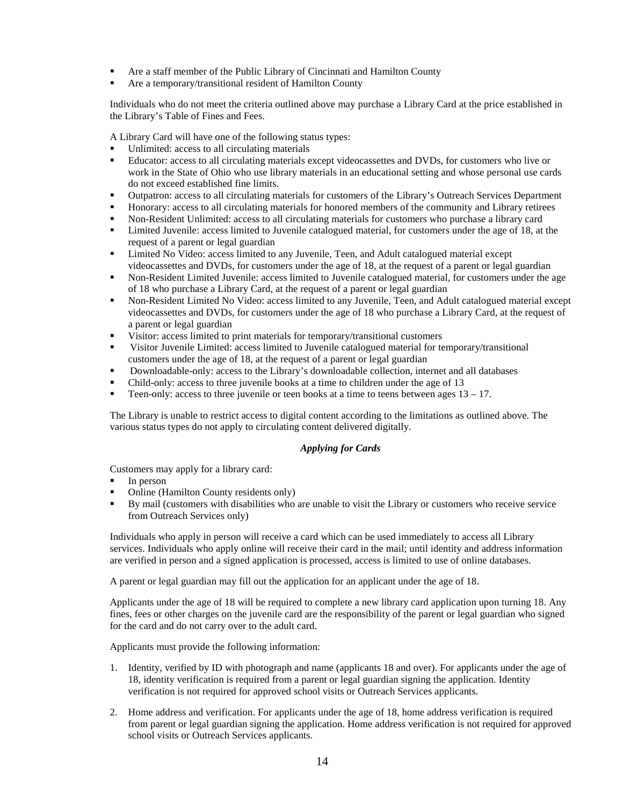- Are a staff member of the Public Library of Cincinnati and Hamilton County
- Are a temporary/transitional resident of Hamilton County

Individuals who do not meet the criteria outlined above may purchase a Library Card at the price established in the Library's Table of Fines and Fees.

A Library Card will have one of the following status types:

- Unlimited: access to all circulating materials
- Educator: access to all circulating materials except videocassettes and DVDs, for customers who live or work in the State of Ohio who use library materials in an educational setting and whose personal use cards do not exceed established fine limits.
- Outpatron: access to all circulating materials for customers of the Library's Outreach Services Department
- Honorary: access to all circulating materials for honored members of the community and Library retirees
- Non-Resident Unlimited: access to all circulating materials for customers who purchase a library card
- Limited Juvenile: access limited to Juvenile catalogued material, for customers under the age of 18, at the request of a parent or legal guardian
- Limited No Video: access limited to any Juvenile, Teen, and Adult catalogued material except videocassettes and DVDs, for customers under the age of 18, at the request of a parent or legal guardian
- Non-Resident Limited Juvenile: access limited to Juvenile catalogued material, for customers under the age of 18 who purchase a Library Card, at the request of a parent or legal guardian
- Non-Resident Limited No Video: access limited to any Juvenile, Teen, and Adult catalogued material except videocassettes and DVDs, for customers under the age of 18 who purchase a Library Card, at the request of a parent or legal guardian
- Visitor: access limited to print materials for temporary/transitional customers
- Visitor Juvenile Limited: access limited to Juvenile catalogued material for temporary/transitional customers under the age of 18, at the request of a parent or legal guardian
- Downloadable-only: access to the Library's downloadable collection, internet and all databases
- Child-only: access to three juvenile books at a time to children under the age of 13
- Teen-only: access to three juvenile or teen books at a time to teens between ages  $13 17$ .

The Library is unable to restrict access to digital content according to the limitations as outlined above. The various status types do not apply to circulating content delivered digitally.

### *Applying for Cards*

Customers may apply for a library card:

- In person
- Online (Hamilton County residents only)
- By mail (customers with disabilities who are unable to visit the Library or customers who receive service from Outreach Services only)

Individuals who apply in person will receive a card which can be used immediately to access all Library services. Individuals who apply online will receive their card in the mail; until identity and address information are verified in person and a signed application is processed, access is limited to use of online databases.

A parent or legal guardian may fill out the application for an applicant under the age of 18.

Applicants under the age of 18 will be required to complete a new library card application upon turning 18. Any fines, fees or other charges on the juvenile card are the responsibility of the parent or legal guardian who signed for the card and do not carry over to the adult card.

Applicants must provide the following information:

- 1. Identity, verified by ID with photograph and name (applicants 18 and over). For applicants under the age of 18, identity verification is required from a parent or legal guardian signing the application. Identity verification is not required for approved school visits or Outreach Services applicants.
- 2. Home address and verification. For applicants under the age of 18, home address verification is required from parent or legal guardian signing the application. Home address verification is not required for approved school visits or Outreach Services applicants.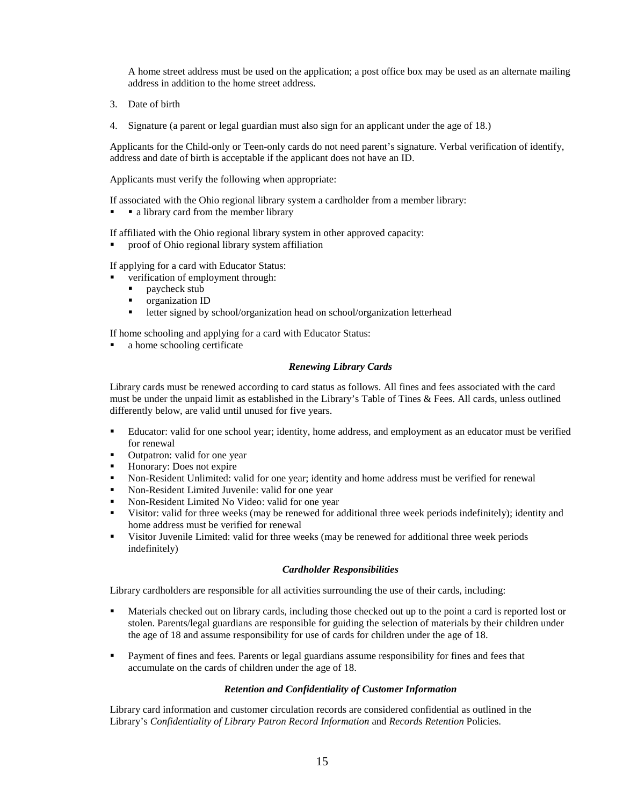A home street address must be used on the application; a post office box may be used as an alternate mailing address in addition to the home street address.

- 3. Date of birth
- 4. Signature (a parent or legal guardian must also sign for an applicant under the age of 18.)

Applicants for the Child-only or Teen-only cards do not need parent's signature. Verbal verification of identify, address and date of birth is acceptable if the applicant does not have an ID.

Applicants must verify the following when appropriate:

If associated with the Ohio regional library system a cardholder from a member library:

a library card from the member library

If affiliated with the Ohio regional library system in other approved capacity:

proof of Ohio regional library system affiliation

If applying for a card with Educator Status:

verification of employment through:

- **paycheck stub**
- **•** organization ID
- **u** letter signed by school/organization head on school/organization letterhead

If home schooling and applying for a card with Educator Status:

a home schooling certificate

### *Renewing Library Cards*

Library cards must be renewed according to card status as follows. All fines and fees associated with the card must be under the unpaid limit as established in the Library's Table of Tines & Fees. All cards, unless outlined differently below, are valid until unused for five years.

- Educator: valid for one school year; identity, home address, and employment as an educator must be verified for renewal
- Outpatron: valid for one year<br>• Honorary: Does not expire
- Honorary: Does not expire
- Non-Resident Unlimited: valid for one year; identity and home address must be verified for renewal
- Non-Resident Limited Juvenile: valid for one year
- Non-Resident Limited No Video: valid for one year
- Visitor: valid for three weeks (may be renewed for additional three week periods indefinitely); identity and home address must be verified for renewal
- Visitor Juvenile Limited: valid for three weeks (may be renewed for additional three week periods indefinitely)

### *Cardholder Responsibilities*

Library cardholders are responsible for all activities surrounding the use of their cards, including:

- Materials checked out on library cards, including those checked out up to the point a card is reported lost or stolen. Parents/legal guardians are responsible for guiding the selection of materials by their children under the age of 18 and assume responsibility for use of cards for children under the age of 18.
- Payment of fines and fees*.* Parents or legal guardians assume responsibility for fines and fees that accumulate on the cards of children under the age of 18.

### *Retention and Confidentiality of Customer Information*

Library card information and customer circulation records are considered confidential as outlined in the Library's *Confidentiality of Library Patron Record Information* and *Records Retention* Policies.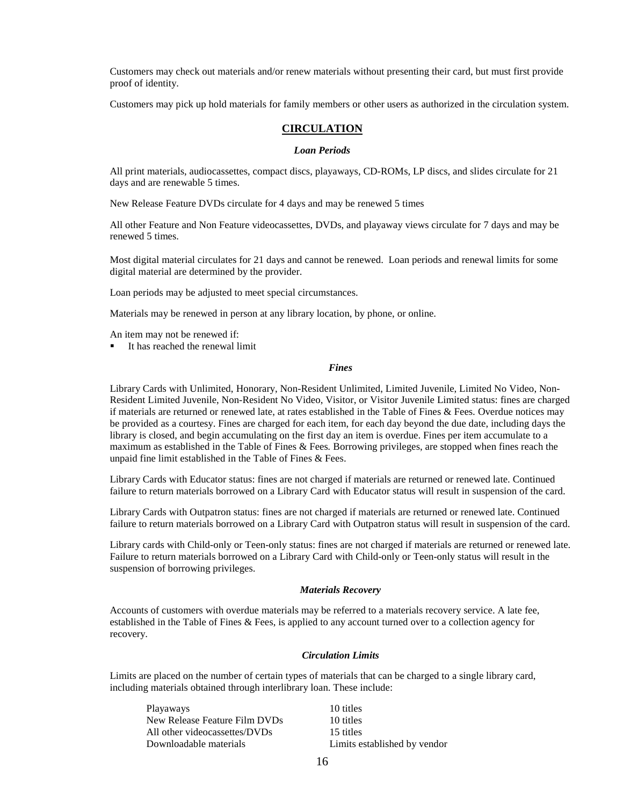Customers may check out materials and/or renew materials without presenting their card, but must first provide proof of identity.

Customers may pick up hold materials for family members or other users as authorized in the circulation system.

### **CIRCULATION**

#### *Loan Periods*

All print materials, audiocassettes, compact discs, playaways, CD-ROMs, LP discs, and slides circulate for 21 days and are renewable 5 times.

New Release Feature DVDs circulate for 4 days and may be renewed 5 times

All other Feature and Non Feature videocassettes, DVDs, and playaway views circulate for 7 days and may be renewed 5 times.

Most digital material circulates for 21 days and cannot be renewed. Loan periods and renewal limits for some digital material are determined by the provider.

Loan periods may be adjusted to meet special circumstances.

Materials may be renewed in person at any library location, by phone, or online.

An item may not be renewed if:

It has reached the renewal limit

#### *Fines*

Library Cards with Unlimited, Honorary, Non-Resident Unlimited, Limited Juvenile, Limited No Video, Non-Resident Limited Juvenile, Non-Resident No Video, Visitor, or Visitor Juvenile Limited status: fines are charged if materials are returned or renewed late, at rates established in the Table of Fines & Fees. Overdue notices may be provided as a courtesy. Fines are charged for each item, for each day beyond the due date, including days the library is closed, and begin accumulating on the first day an item is overdue. Fines per item accumulate to a maximum as established in the Table of Fines & Fees*.* Borrowing privileges, are stopped when fines reach the unpaid fine limit established in the Table of Fines & Fees.

Library Cards with Educator status: fines are not charged if materials are returned or renewed late. Continued failure to return materials borrowed on a Library Card with Educator status will result in suspension of the card.

Library Cards with Outpatron status: fines are not charged if materials are returned or renewed late. Continued failure to return materials borrowed on a Library Card with Outpatron status will result in suspension of the card.

Library cards with Child-only or Teen-only status: fines are not charged if materials are returned or renewed late. Failure to return materials borrowed on a Library Card with Child-only or Teen-only status will result in the suspension of borrowing privileges.

#### *Materials Recovery*

Accounts of customers with overdue materials may be referred to a materials recovery service. A late fee, established in the Table of Fines & Fees, is applied to any account turned over to a collection agency for recovery.

#### *Circulation Limits*

Limits are placed on the number of certain types of materials that can be charged to a single library card, including materials obtained through interlibrary loan. These include:

| Playaways                     | 10 titles                    |
|-------------------------------|------------------------------|
| New Release Feature Film DVDs | 10 titles                    |
| All other videocassettes/DVDs | 15 titles                    |
| Downloadable materials        | Limits established by vendor |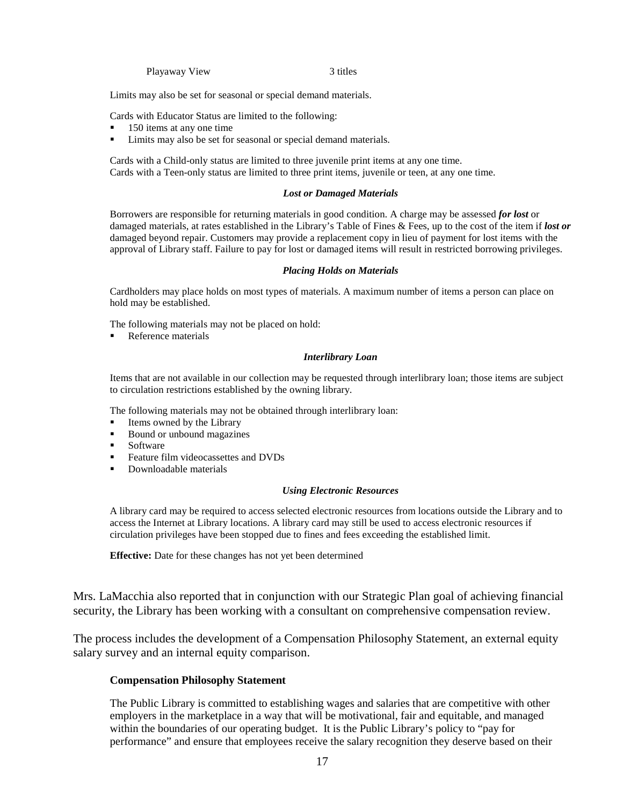Playaway View 3 titles

Limits may also be set for seasonal or special demand materials.

Cards with Educator Status are limited to the following:

- 150 items at any one time
- Limits may also be set for seasonal or special demand materials.

Cards with a Child-only status are limited to three juvenile print items at any one time. Cards with a Teen-only status are limited to three print items, juvenile or teen, at any one time.

#### *Lost or Damaged Materials*

Borrowers are responsible for returning materials in good condition. A charge may be assessed *for lost* or damaged materials, at rates established in the Library's Table of Fines & Fees, up to the cost of the item if *lost or* damaged beyond repair. Customers may provide a replacement copy in lieu of payment for lost items with the approval of Library staff. Failure to pay for lost or damaged items will result in restricted borrowing privileges.

#### *Placing Holds on Materials*

Cardholders may place holds on most types of materials. A maximum number of items a person can place on hold may be established.

The following materials may not be placed on hold:

Reference materials

#### *Interlibrary Loan*

Items that are not available in our collection may be requested through interlibrary loan; those items are subject to circulation restrictions established by the owning library.

The following materials may not be obtained through interlibrary loan:

- Items owned by the Library
- Bound or unbound magazines
- **Software**
- Feature film videocassettes and DVDs
- **•** Downloadable materials

#### *Using Electronic Resources*

A library card may be required to access selected electronic resources from locations outside the Library and to access the Internet at Library locations. A library card may still be used to access electronic resources if circulation privileges have been stopped due to fines and fees exceeding the established limit.

**Effective:** Date for these changes has not yet been determined

Mrs. LaMacchia also reported that in conjunction with our Strategic Plan goal of achieving financial security, the Library has been working with a consultant on comprehensive compensation review.

The process includes the development of a Compensation Philosophy Statement, an external equity salary survey and an internal equity comparison.

#### **Compensation Philosophy Statement**

The Public Library is committed to establishing wages and salaries that are competitive with other employers in the marketplace in a way that will be motivational, fair and equitable, and managed within the boundaries of our operating budget. It is the Public Library's policy to "pay for performance" and ensure that employees receive the salary recognition they deserve based on their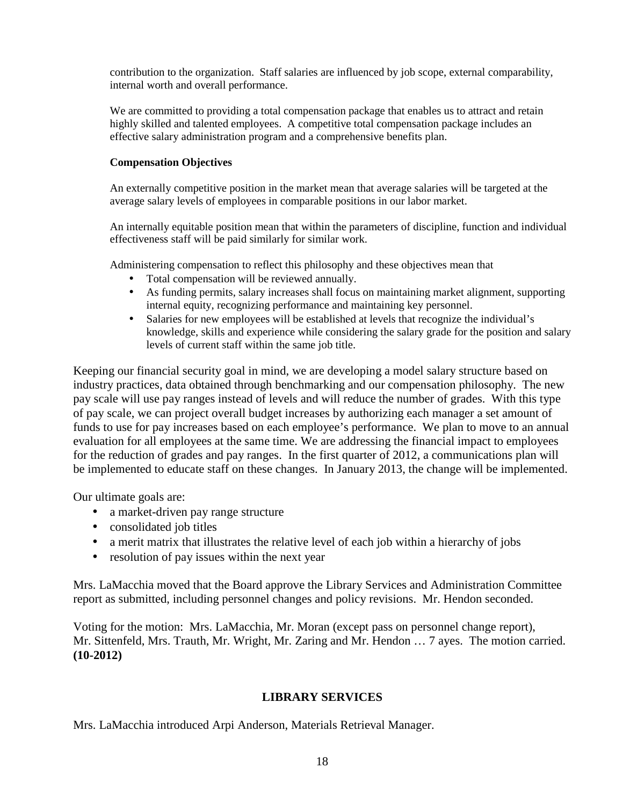contribution to the organization. Staff salaries are influenced by job scope, external comparability, internal worth and overall performance.

We are committed to providing a total compensation package that enables us to attract and retain highly skilled and talented employees. A competitive total compensation package includes an effective salary administration program and a comprehensive benefits plan.

### **Compensation Objectives**

An externally competitive position in the market mean that average salaries will be targeted at the average salary levels of employees in comparable positions in our labor market.

An internally equitable position mean that within the parameters of discipline, function and individual effectiveness staff will be paid similarly for similar work.

Administering compensation to reflect this philosophy and these objectives mean that

- Total compensation will be reviewed annually.
- As funding permits, salary increases shall focus on maintaining market alignment, supporting internal equity, recognizing performance and maintaining key personnel.
- Salaries for new employees will be established at levels that recognize the individual's knowledge, skills and experience while considering the salary grade for the position and salary levels of current staff within the same job title.

Keeping our financial security goal in mind, we are developing a model salary structure based on industry practices, data obtained through benchmarking and our compensation philosophy. The new pay scale will use pay ranges instead of levels and will reduce the number of grades. With this type of pay scale, we can project overall budget increases by authorizing each manager a set amount of funds to use for pay increases based on each employee's performance. We plan to move to an annual evaluation for all employees at the same time. We are addressing the financial impact to employees for the reduction of grades and pay ranges. In the first quarter of 2012, a communications plan will be implemented to educate staff on these changes. In January 2013, the change will be implemented.

Our ultimate goals are:

- a market-driven pay range structure
- consolidated job titles
- a merit matrix that illustrates the relative level of each job within a hierarchy of jobs
- resolution of pay issues within the next year

Mrs. LaMacchia moved that the Board approve the Library Services and Administration Committee report as submitted, including personnel changes and policy revisions. Mr. Hendon seconded.

Voting for the motion: Mrs. LaMacchia, Mr. Moran (except pass on personnel change report), Mr. Sittenfeld, Mrs. Trauth, Mr. Wright, Mr. Zaring and Mr. Hendon … 7 ayes. The motion carried. **(10-2012)**

## **LIBRARY SERVICES**

Mrs. LaMacchia introduced Arpi Anderson, Materials Retrieval Manager.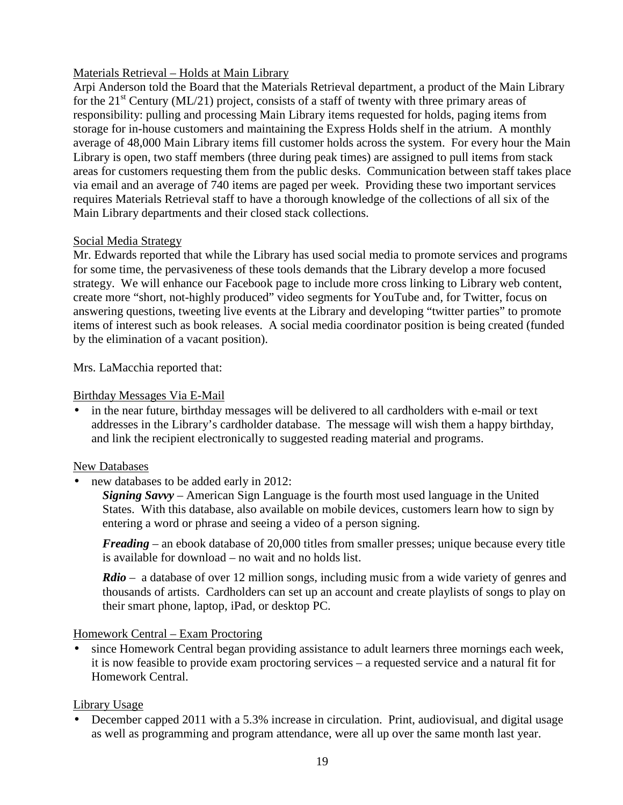# Materials Retrieval – Holds at Main Library

Arpi Anderson told the Board that the Materials Retrieval department, a product of the Main Library for the  $21<sup>st</sup>$  Century (ML/21) project, consists of a staff of twenty with three primary areas of responsibility: pulling and processing Main Library items requested for holds, paging items from storage for in-house customers and maintaining the Express Holds shelf in the atrium. A monthly average of 48,000 Main Library items fill customer holds across the system. For every hour the Main Library is open, two staff members (three during peak times) are assigned to pull items from stack areas for customers requesting them from the public desks. Communication between staff takes place via email and an average of 740 items are paged per week. Providing these two important services requires Materials Retrieval staff to have a thorough knowledge of the collections of all six of the Main Library departments and their closed stack collections.

# Social Media Strategy

Mr. Edwards reported that while the Library has used social media to promote services and programs for some time, the pervasiveness of these tools demands that the Library develop a more focused strategy. We will enhance our Facebook page to include more cross linking to Library web content, create more "short, not-highly produced" video segments for YouTube and, for Twitter, focus on answering questions, tweeting live events at the Library and developing "twitter parties" to promote items of interest such as book releases. A social media coordinator position is being created (funded by the elimination of a vacant position).

Mrs. LaMacchia reported that:

# Birthday Messages Via E-Mail

• in the near future, birthday messages will be delivered to all cardholders with e-mail or text addresses in the Library's cardholder database. The message will wish them a happy birthday, and link the recipient electronically to suggested reading material and programs.

## New Databases

• new databases to be added early in 2012:

*Signing Savvy –* American Sign Language is the fourth most used language in the United States. With this database, also available on mobile devices, customers learn how to sign by entering a word or phrase and seeing a video of a person signing.

*Freading* – an ebook database of 20,000 titles from smaller presses; unique because every title is available for download – no wait and no holds list.

*Rdio –* a database of over 12 million songs, including music from a wide variety of genres and thousands of artists. Cardholders can set up an account and create playlists of songs to play on their smart phone, laptop, iPad, or desktop PC.

# Homework Central – Exam Proctoring

• since Homework Central began providing assistance to adult learners three mornings each week, it is now feasible to provide exam proctoring services – a requested service and a natural fit for Homework Central.

# Library Usage

• December capped 2011 with a 5.3% increase in circulation. Print, audiovisual, and digital usage as well as programming and program attendance, were all up over the same month last year.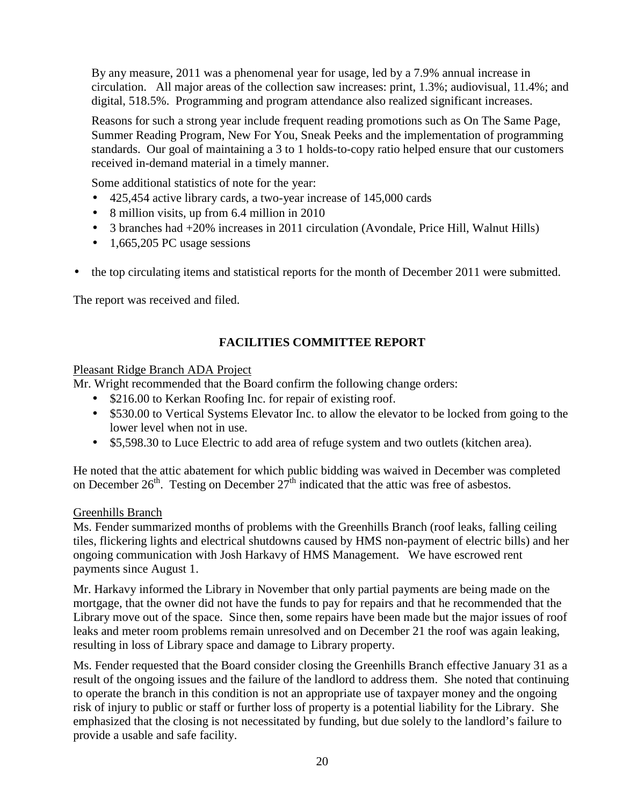By any measure, 2011 was a phenomenal year for usage, led by a 7.9% annual increase in circulation. All major areas of the collection saw increases: print, 1.3%; audiovisual, 11.4%; and digital, 518.5%. Programming and program attendance also realized significant increases.

Reasons for such a strong year include frequent reading promotions such as On The Same Page, Summer Reading Program, New For You, Sneak Peeks and the implementation of programming standards. Our goal of maintaining a 3 to 1 holds-to-copy ratio helped ensure that our customers received in-demand material in a timely manner.

Some additional statistics of note for the year:

- 425,454 active library cards, a two-year increase of 145,000 cards
- 8 million visits, up from 6.4 million in 2010
- 3 branches had  $+20\%$  increases in 2011 circulation (Avondale, Price Hill, Walnut Hills)
- 1,665,205 PC usage sessions
- the top circulating items and statistical reports for the month of December 2011 were submitted.

The report was received and filed.

# **FACILITIES COMMITTEE REPORT**

# Pleasant Ridge Branch ADA Project

Mr. Wright recommended that the Board confirm the following change orders:

- \$216.00 to Kerkan Roofing Inc. for repair of existing roof.
- \$530.00 to Vertical Systems Elevator Inc. to allow the elevator to be locked from going to the lower level when not in use.
- \$5,598.30 to Luce Electric to add area of refuge system and two outlets (kitchen area).

He noted that the attic abatement for which public bidding was waived in December was completed on December  $26<sup>th</sup>$ . Testing on December  $27<sup>th</sup>$  indicated that the attic was free of asbestos.

# Greenhills Branch

Ms. Fender summarized months of problems with the Greenhills Branch (roof leaks, falling ceiling tiles, flickering lights and electrical shutdowns caused by HMS non-payment of electric bills) and her ongoing communication with Josh Harkavy of HMS Management. We have escrowed rent payments since August 1.

Mr. Harkavy informed the Library in November that only partial payments are being made on the mortgage, that the owner did not have the funds to pay for repairs and that he recommended that the Library move out of the space. Since then, some repairs have been made but the major issues of roof leaks and meter room problems remain unresolved and on December 21 the roof was again leaking, resulting in loss of Library space and damage to Library property.

Ms. Fender requested that the Board consider closing the Greenhills Branch effective January 31 as a result of the ongoing issues and the failure of the landlord to address them. She noted that continuing to operate the branch in this condition is not an appropriate use of taxpayer money and the ongoing risk of injury to public or staff or further loss of property is a potential liability for the Library. She emphasized that the closing is not necessitated by funding, but due solely to the landlord's failure to provide a usable and safe facility.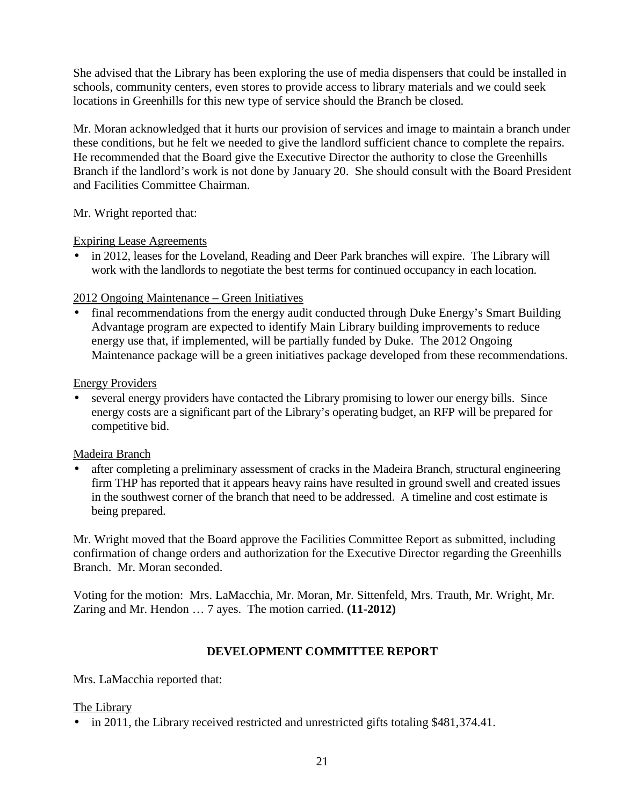She advised that the Library has been exploring the use of media dispensers that could be installed in schools, community centers, even stores to provide access to library materials and we could seek locations in Greenhills for this new type of service should the Branch be closed.

Mr. Moran acknowledged that it hurts our provision of services and image to maintain a branch under these conditions, but he felt we needed to give the landlord sufficient chance to complete the repairs. He recommended that the Board give the Executive Director the authority to close the Greenhills Branch if the landlord's work is not done by January 20. She should consult with the Board President and Facilities Committee Chairman.

Mr. Wright reported that:

# Expiring Lease Agreements

• in 2012, leases for the Loveland, Reading and Deer Park branches will expire. The Library will work with the landlords to negotiate the best terms for continued occupancy in each location.

# 2012 Ongoing Maintenance – Green Initiatives

• final recommendations from the energy audit conducted through Duke Energy's Smart Building Advantage program are expected to identify Main Library building improvements to reduce energy use that, if implemented, will be partially funded by Duke. The 2012 Ongoing Maintenance package will be a green initiatives package developed from these recommendations.

# Energy Providers

several energy providers have contacted the Library promising to lower our energy bills. Since energy costs are a significant part of the Library's operating budget, an RFP will be prepared for competitive bid.

# Madeira Branch

after completing a preliminary assessment of cracks in the Madeira Branch, structural engineering firm THP has reported that it appears heavy rains have resulted in ground swell and created issues in the southwest corner of the branch that need to be addressed. A timeline and cost estimate is being prepared.

Mr. Wright moved that the Board approve the Facilities Committee Report as submitted, including confirmation of change orders and authorization for the Executive Director regarding the Greenhills Branch. Mr. Moran seconded.

Voting for the motion: Mrs. LaMacchia, Mr. Moran, Mr. Sittenfeld, Mrs. Trauth, Mr. Wright, Mr. Zaring and Mr. Hendon … 7 ayes. The motion carried. **(11-2012)**

# **DEVELOPMENT COMMITTEE REPORT**

Mrs. LaMacchia reported that:

## The Library

• in 2011, the Library received restricted and unrestricted gifts totaling \$481,374.41.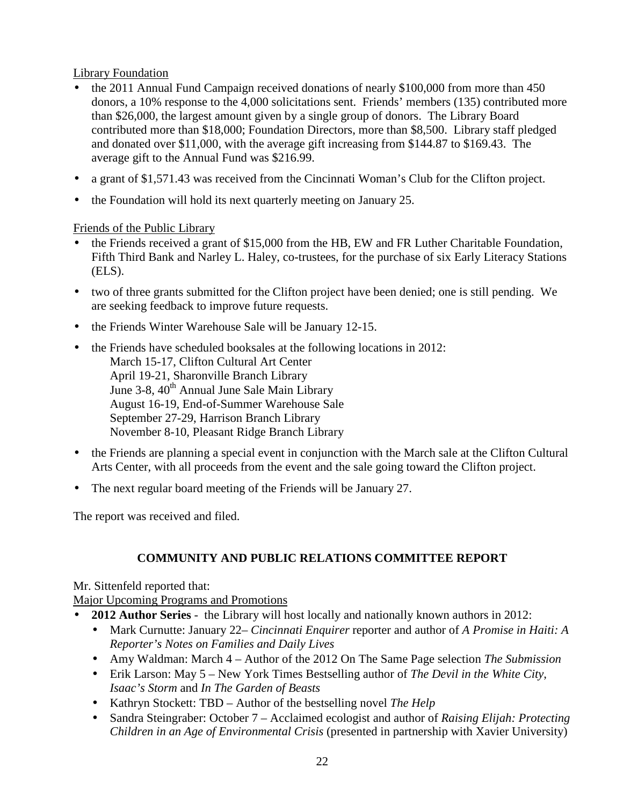Library Foundation

- the 2011 Annual Fund Campaign received donations of nearly \$100,000 from more than 450 donors, a 10% response to the 4,000 solicitations sent. Friends' members (135) contributed more than \$26,000, the largest amount given by a single group of donors. The Library Board contributed more than \$18,000; Foundation Directors, more than \$8,500. Library staff pledged and donated over \$11,000, with the average gift increasing from \$144.87 to \$169.43. The average gift to the Annual Fund was \$216.99.
- a grant of \$1,571.43 was received from the Cincinnati Woman's Club for the Clifton project.
- the Foundation will hold its next quarterly meeting on January 25.

# Friends of the Public Library

- the Friends received a grant of \$15,000 from the HB, EW and FR Luther Charitable Foundation, Fifth Third Bank and Narley L. Haley, co-trustees, for the purchase of six Early Literacy Stations (ELS).
- two of three grants submitted for the Clifton project have been denied; one is still pending. We are seeking feedback to improve future requests.
- the Friends Winter Warehouse Sale will be January 12-15.
- the Friends have scheduled booksales at the following locations in 2012: March 15-17, Clifton Cultural Art Center April 19-21, Sharonville Branch Library June 3-8, 40<sup>th</sup> Annual June Sale Main Library August 16-19, End-of-Summer Warehouse Sale September 27-29, Harrison Branch Library November 8-10, Pleasant Ridge Branch Library
- the Friends are planning a special event in conjunction with the March sale at the Clifton Cultural Arts Center, with all proceeds from the event and the sale going toward the Clifton project.
- The next regular board meeting of the Friends will be January 27.

The report was received and filed.

# **COMMUNITY AND PUBLIC RELATIONS COMMITTEE REPORT**

Mr. Sittenfeld reported that:

Major Upcoming Programs and Promotions

- **2012 Author Series** the Library will host locally and nationally known authors in 2012:
	- Mark Curnutte: January 22– *Cincinnati Enquirer* reporter and author of *A Promise in Haiti: A Reporter's Notes on Families and Daily Lives*
	- Amy Waldman: March 4 Author of the 2012 On The Same Page selection *The Submission*
	- Erik Larson: May 5 New York Times Bestselling author of *The Devil in the White City*, *Isaac's Storm* and *In The Garden of Beasts*
	- Kathryn Stockett: TBD Author of the bestselling novel *The Help*
	- Sandra Steingraber: October 7 Acclaimed ecologist and author of *Raising Elijah: Protecting Children in an Age of Environmental Crisis* (presented in partnership with Xavier University)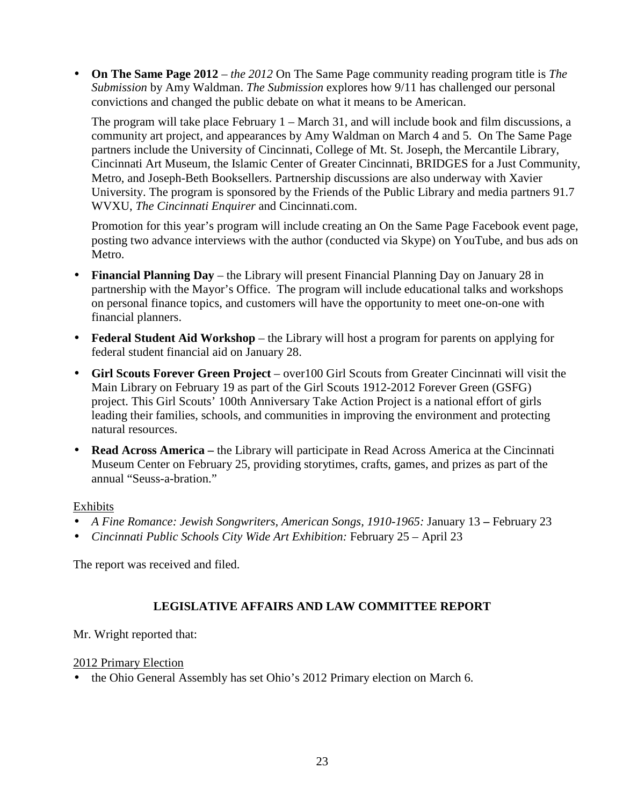• **On The Same Page 2012** *– the 2012* On The Same Page community reading program title is *The Submission* by Amy Waldman. *The Submission* explores how 9/11 has challenged our personal convictions and changed the public debate on what it means to be American.

The program will take place February 1 – March 31, and will include book and film discussions, a community art project, and appearances by Amy Waldman on March 4 and 5. On The Same Page partners include the University of Cincinnati, College of Mt. St. Joseph, the Mercantile Library, Cincinnati Art Museum, the Islamic Center of Greater Cincinnati, BRIDGES for a Just Community, Metro, and Joseph-Beth Booksellers. Partnership discussions are also underway with Xavier University. The program is sponsored by the Friends of the Public Library and media partners 91.7 WVXU, *The Cincinnati Enquirer* and Cincinnati.com.

Promotion for this year's program will include creating an On the Same Page Facebook event page, posting two advance interviews with the author (conducted via Skype) on YouTube, and bus ads on Metro.

- **Financial Planning Day**the Library will present Financial Planning Day on January 28 in partnership with the Mayor's Office. The program will include educational talks and workshops on personal finance topics, and customers will have the opportunity to meet one-on-one with financial planners.
- **Federal Student Aid Workshop** the Library will host a program for parents on applying for federal student financial aid on January 28.
- **Girl Scouts Forever Green Project**  over100 Girl Scouts from Greater Cincinnati will visit the Main Library on February 19 as part of the Girl Scouts 1912-2012 Forever Green (GSFG) project. This Girl Scouts' 100th Anniversary Take Action Project is a national effort of girls leading their families, schools, and communities in improving the environment and protecting natural resources.
- **Read Across America** the Library will participate in Read Across America at the Cincinnati Museum Center on February 25, providing storytimes, crafts, games, and prizes as part of the annual "Seuss-a-bration."

# Exhibits

- *A Fine Romance: Jewish Songwriters, American Songs, 1910-1965:* January 13 February 23
- *Cincinnati Public Schools City Wide Art Exhibition:* February 25 April 23

The report was received and filed.

# **LEGISLATIVE AFFAIRS AND LAW COMMITTEE REPORT**

Mr. Wright reported that:

## 2012 Primary Election

• the Ohio General Assembly has set Ohio's 2012 Primary election on March 6.